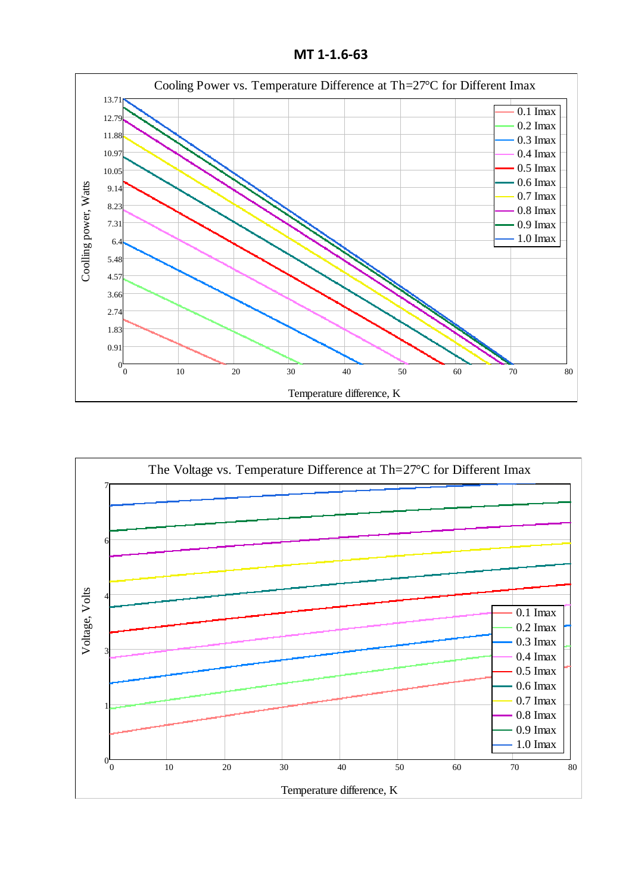**MT 1-1.6-63**